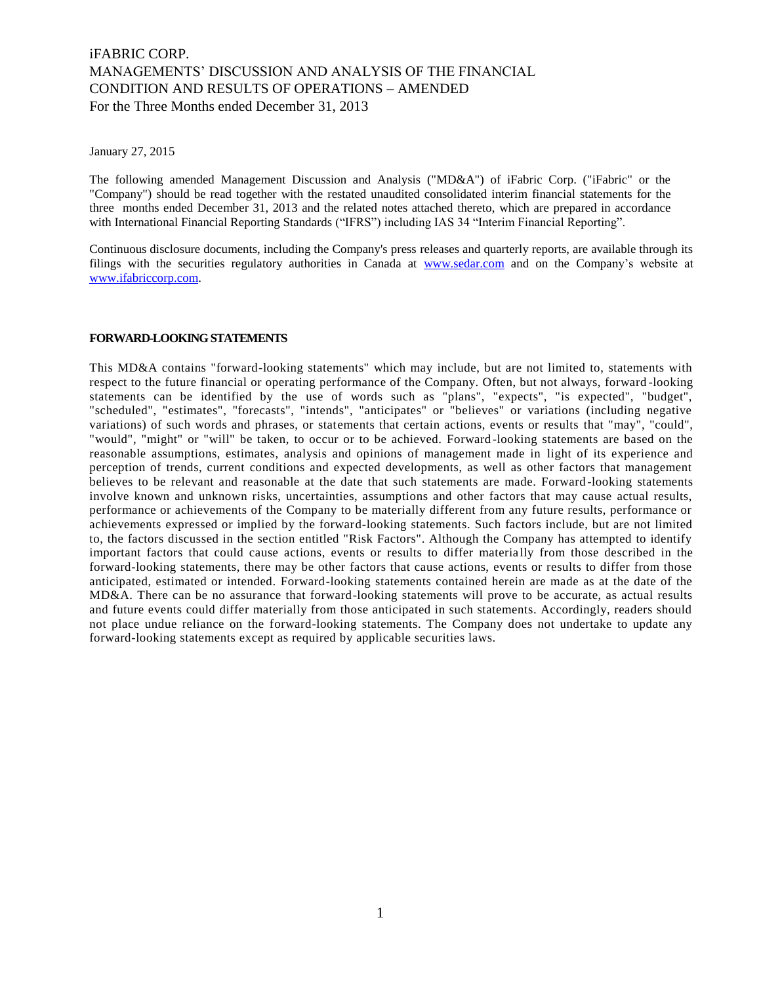# iFABRIC CORP. MANAGEMENTS' DISCUSSION AND ANALYSIS OF THE FINANCIAL CONDITION AND RESULTS OF OPERATIONS – AMENDED For the Three Months ended December 31, 2013

January 27, 2015

The following amended Management Discussion and Analysis ("MD&A") of iFabric Corp. ("iFabric" or the "Company") should be read together with the restated unaudited consolidated interim financial statements for the three months ended December 31, 2013 and the related notes attached thereto, which are prepared in accordance with International Financial Reporting Standards ("IFRS") including IAS 34 "Interim Financial Reporting".

Continuous disclosure documents, including the Company's press releases and quarterly reports, are available through its filings with the securities regulatory authorities in Canada at [www.sedar.com](http://www.sedar.com/) and on the Company's website at [www.ifabriccorp.com.](www.ifabriccorp.com)

### **FORWARD-LOOKING STATEMENTS**

This MD&A contains "forward-looking statements" which may include, but are not limited to, statements with respect to the future financial or operating performance of the Company. Often, but not always, forward -looking statements can be identified by the use of words such as "plans", "expects", "is expected", "budget", "scheduled", "estimates", "forecasts", "intends", "anticipates" or "believes" or variations (including negative variations) of such words and phrases, or statements that certain actions, events or results that "may", "could", "would", "might" or "will" be taken, to occur or to be achieved. Forward -looking statements are based on the reasonable assumptions, estimates, analysis and opinions of management made in light of its experience and perception of trends, current conditions and expected developments, as well as other factors that management believes to be relevant and reasonable at the date that such statements are made. Forward -looking statements involve known and unknown risks, uncertainties, assumptions and other factors that may cause actual results, performance or achievements of the Company to be materially different from any future results, performance or achievements expressed or implied by the forward-looking statements. Such factors include, but are not limited to, the factors discussed in the section entitled "Risk Factors". Although the Company has attempted to identify important factors that could cause actions, events or results to differ materia lly from those described in the forward-looking statements, there may be other factors that cause actions, events or results to differ from those anticipated, estimated or intended. Forward-looking statements contained herein are made as at the date of the MD&A. There can be no assurance that forward-looking statements will prove to be accurate, as actual results and future events could differ materially from those anticipated in such statements. Accordingly, readers should not place undue reliance on the forward-looking statements. The Company does not undertake to update any forward-looking statements except as required by applicable securities laws.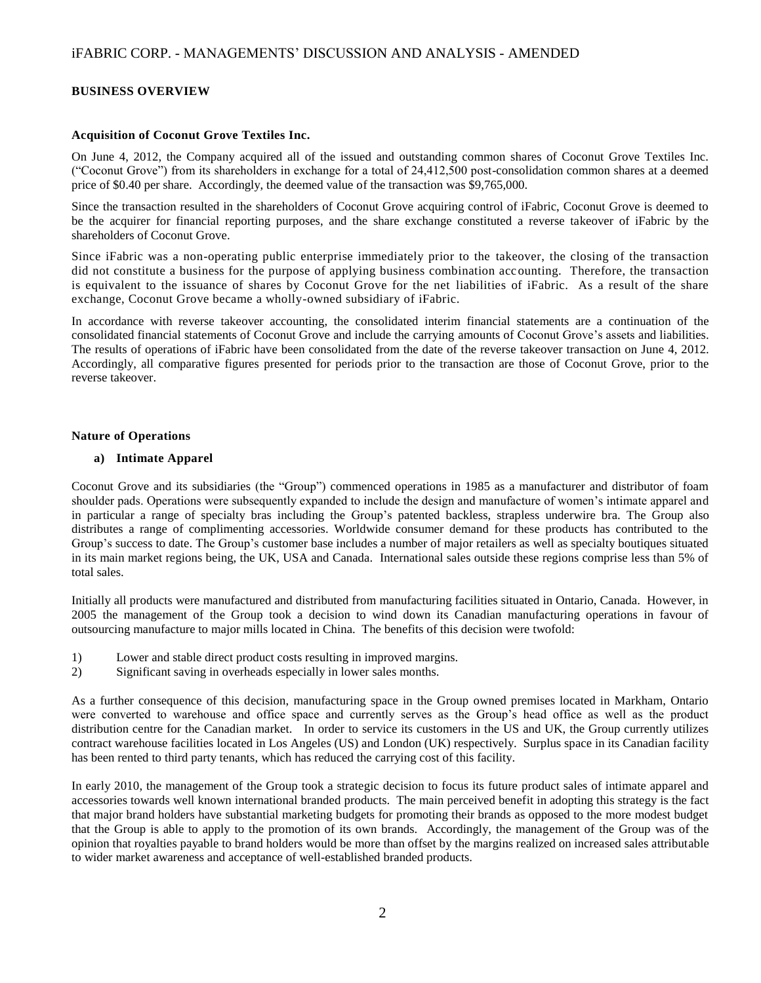## **BUSINESS OVERVIEW**

### **Acquisition of Coconut Grove Textiles Inc.**

On June 4, 2012, the Company acquired all of the issued and outstanding common shares of Coconut Grove Textiles Inc. ("Coconut Grove") from its shareholders in exchange for a total of 24,412,500 post-consolidation common shares at a deemed price of \$0.40 per share. Accordingly, the deemed value of the transaction was \$9,765,000.

Since the transaction resulted in the shareholders of Coconut Grove acquiring control of iFabric, Coconut Grove is deemed to be the acquirer for financial reporting purposes, and the share exchange constituted a reverse takeover of iFabric by the shareholders of Coconut Grove.

Since iFabric was a non-operating public enterprise immediately prior to the takeover, the closing of the transaction did not constitute a business for the purpose of applying business combination accounting. Therefore, the transaction is equivalent to the issuance of shares by Coconut Grove for the net liabilities of iFabric. As a result of the share exchange, Coconut Grove became a wholly-owned subsidiary of iFabric.

In accordance with reverse takeover accounting, the consolidated interim financial statements are a continuation of the consolidated financial statements of Coconut Grove and include the carrying amounts of Coconut Grove's assets and liabilities. The results of operations of iFabric have been consolidated from the date of the reverse takeover transaction on June 4, 2012. Accordingly, all comparative figures presented for periods prior to the transaction are those of Coconut Grove, prior to the reverse takeover.

### **Nature of Operations**

### **a) Intimate Apparel**

Coconut Grove and its subsidiaries (the "Group") commenced operations in 1985 as a manufacturer and distributor of foam shoulder pads. Operations were subsequently expanded to include the design and manufacture of women's intimate apparel and in particular a range of specialty bras including the Group's patented backless, strapless underwire bra. The Group also distributes a range of complimenting accessories. Worldwide consumer demand for these products has contributed to the Group's success to date. The Group's customer base includes a number of major retailers as well as specialty boutiques situated in its main market regions being, the UK, USA and Canada. International sales outside these regions comprise less than 5% of total sales.

Initially all products were manufactured and distributed from manufacturing facilities situated in Ontario, Canada. However, in 2005 the management of the Group took a decision to wind down its Canadian manufacturing operations in favour of outsourcing manufacture to major mills located in China. The benefits of this decision were twofold:

- 1) Lower and stable direct product costs resulting in improved margins.
- 2) Significant saving in overheads especially in lower sales months.

As a further consequence of this decision, manufacturing space in the Group owned premises located in Markham, Ontario were converted to warehouse and office space and currently serves as the Group's head office as well as the product distribution centre for the Canadian market. In order to service its customers in the US and UK, the Group currently utilizes contract warehouse facilities located in Los Angeles (US) and London (UK) respectively. Surplus space in its Canadian facility has been rented to third party tenants, which has reduced the carrying cost of this facility.

In early 2010, the management of the Group took a strategic decision to focus its future product sales of intimate apparel and accessories towards well known international branded products. The main perceived benefit in adopting this strategy is the fact that major brand holders have substantial marketing budgets for promoting their brands as opposed to the more modest budget that the Group is able to apply to the promotion of its own brands. Accordingly, the management of the Group was of the opinion that royalties payable to brand holders would be more than offset by the margins realized on increased sales attributable to wider market awareness and acceptance of well-established branded products.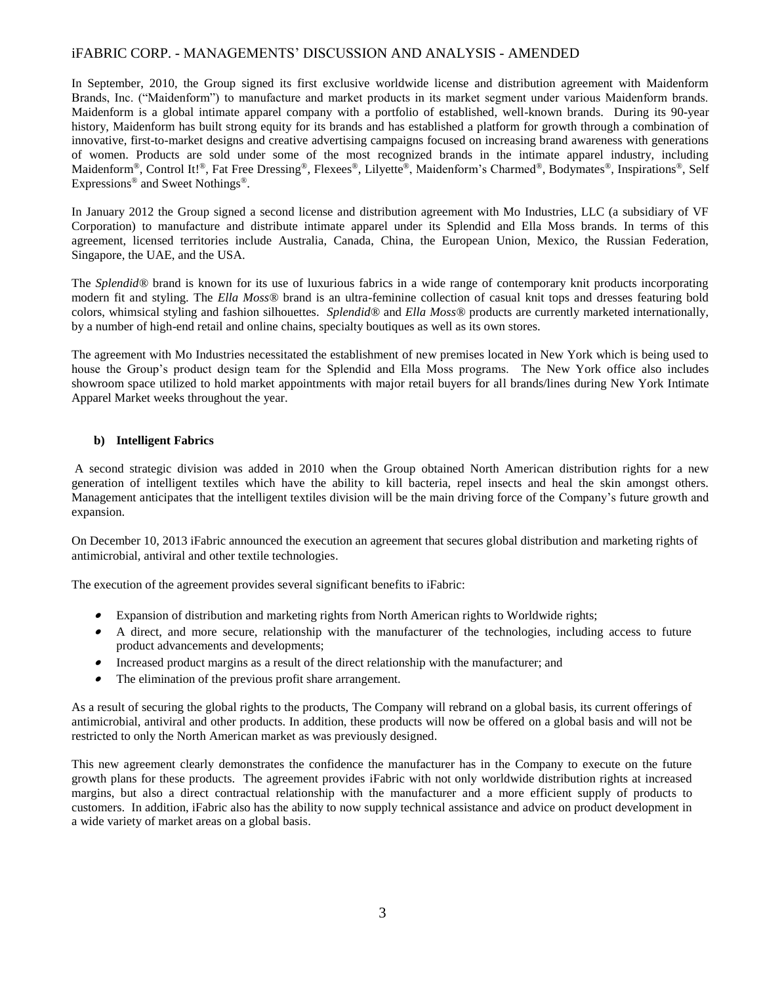In September, 2010, the Group signed its first exclusive worldwide license and distribution agreement with Maidenform Brands, Inc. ("Maidenform") to manufacture and market products in its market segment under various Maidenform brands. Maidenform is a global intimate apparel company with a portfolio of established, well-known brands. During its 90-year history, Maidenform has built strong equity for its brands and has established a platform for growth through a combination of innovative, first-to-market designs and creative advertising campaigns focused on increasing brand awareness with generations of women. Products are sold under some of the most recognized brands in the intimate apparel industry, including Maidenform®, Control It!®, Fat Free Dressing®, Flexees®, Lilyette®, Maidenform's Charmed®, Bodymates®, Inspirations®, Self Expressions® and Sweet Nothings®.

In January 2012 the Group signed a second license and distribution agreement with Mo Industries, LLC (a subsidiary of VF Corporation) to manufacture and distribute intimate apparel under its Splendid and Ella Moss brands. In terms of this agreement, licensed territories include Australia, Canada, China, the European Union, Mexico, the Russian Federation, Singapore, the UAE, and the USA.

The *Splendid®* brand is known for its use of luxurious fabrics in a wide range of contemporary knit products incorporating modern fit and styling. The *Ella Moss®* brand is an ultra-feminine collection of casual knit tops and dresses featuring bold colors, whimsical styling and fashion silhouettes. *Splendid®* and *Ella Moss®* products are currently marketed internationally, by a number of high-end retail and online chains, specialty boutiques as well as its own stores.

The agreement with Mo Industries necessitated the establishment of new premises located in New York which is being used to house the Group's product design team for the Splendid and Ella Moss programs. The New York office also includes showroom space utilized to hold market appointments with major retail buyers for all brands/lines during New York Intimate Apparel Market weeks throughout the year.

## **b) Intelligent Fabrics**

A second strategic division was added in 2010 when the Group obtained North American distribution rights for a new generation of intelligent textiles which have the ability to kill bacteria, repel insects and heal the skin amongst others. Management anticipates that the intelligent textiles division will be the main driving force of the Company's future growth and expansion.

On December 10, 2013 iFabric announced the execution an agreement that secures global distribution and marketing rights of antimicrobial, antiviral and other textile technologies.

The execution of the agreement provides several significant benefits to iFabric:

- Expansion of distribution and marketing rights from North American rights to Worldwide rights;
- A direct, and more secure, relationship with the manufacturer of the technologies, including access to future product advancements and developments;
- Increased product margins as a result of the direct relationship with the manufacturer; and
- . The elimination of the previous profit share arrangement.

As a result of securing the global rights to the products, The Company will rebrand on a global basis, its current offerings of antimicrobial, antiviral and other products. In addition, these products will now be offered on a global basis and will not be restricted to only the North American market as was previously designed.

This new agreement clearly demonstrates the confidence the manufacturer has in the Company to execute on the future growth plans for these products. The agreement provides iFabric with not only worldwide distribution rights at increased margins, but also a direct contractual relationship with the manufacturer and a more efficient supply of products to customers. In addition, iFabric also has the ability to now supply technical assistance and advice on product development in a wide variety of market areas on a global basis.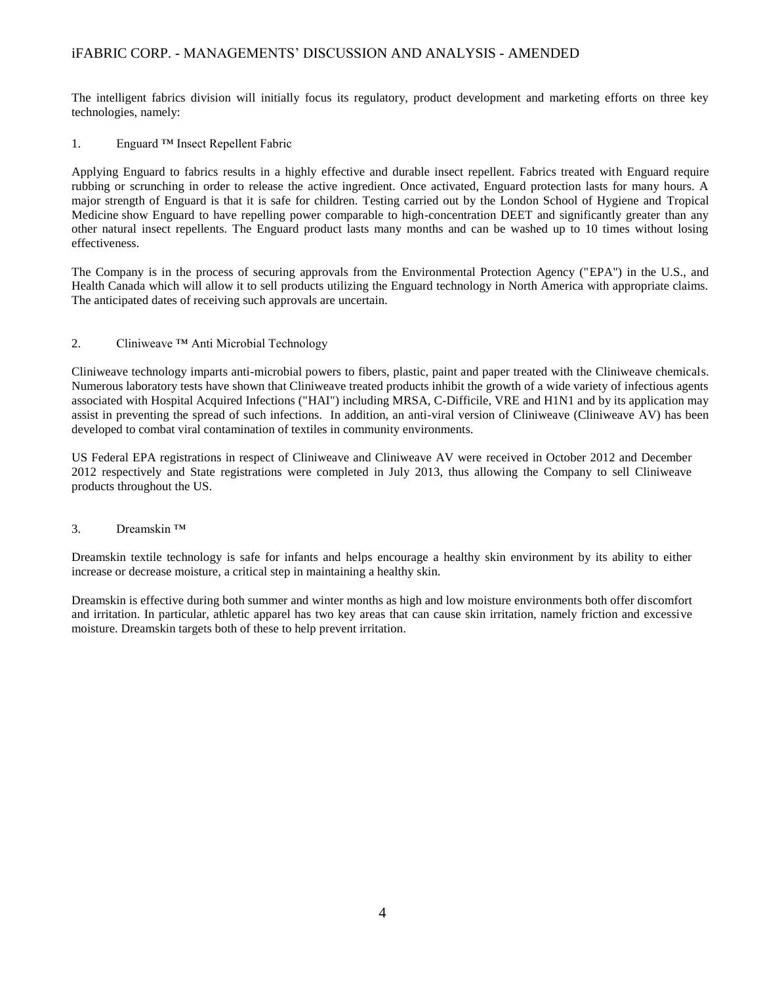The intelligent fabrics division will initially focus its regulatory, product development and marketing efforts on three key technologies, namely:

1. Enguard ™ Insect Repellent Fabric

Applying Enguard to fabrics results in a highly effective and durable insect repellent. Fabrics treated with Enguard require rubbing or scrunching in order to release the active ingredient. Once activated, Enguard protection lasts for many hours. A major strength of Enguard is that it is safe for children. Testing carried out by the London School of Hygiene and Tropical Medicine show Enguard to have repelling power comparable to high-concentration DEET and significantly greater than any other natural insect repellents. The Enguard product lasts many months and can be washed up to 10 times without losing effectiveness.

The Company is in the process of securing approvals from the Environmental Protection Agency ("EPA") in the U.S., and Health Canada which will allow it to sell products utilizing the Enguard technology in North America with appropriate claims. The anticipated dates of receiving such approvals are uncertain.

## 2. Cliniweave ™ Anti Microbial Technology

Cliniweave technology imparts anti-microbial powers to fibers, plastic, paint and paper treated with the Cliniweave chemicals. Numerous laboratory tests have shown that Cliniweave treated products inhibit the growth of a wide variety of infectious agents associated with Hospital Acquired Infections ("HAI") including MRSA, C-Difficile, VRE and H1N1 and by its application may assist in preventing the spread of such infections. In addition, an anti-viral version of Cliniweave (Cliniweave AV) has been developed to combat viral contamination of textiles in community environments.

US Federal EPA registrations in respect of Cliniweave and Cliniweave AV were received in October 2012 and December 2012 respectively and State registrations were completed in July 2013, thus allowing the Company to sell Cliniweave products throughout the US.

## 3. Dreamskin ™

Dreamskin textile technology is safe for infants and helps encourage a healthy skin environment by its ability to either increase or decrease moisture, a critical step in maintaining a healthy skin.

Dreamskin is effective during both summer and winter months as high and low moisture environments both offer discomfort and irritation. In particular, athletic apparel has two key areas that can cause skin irritation, namely friction and excessive moisture. Dreamskin targets both of these to help prevent irritation.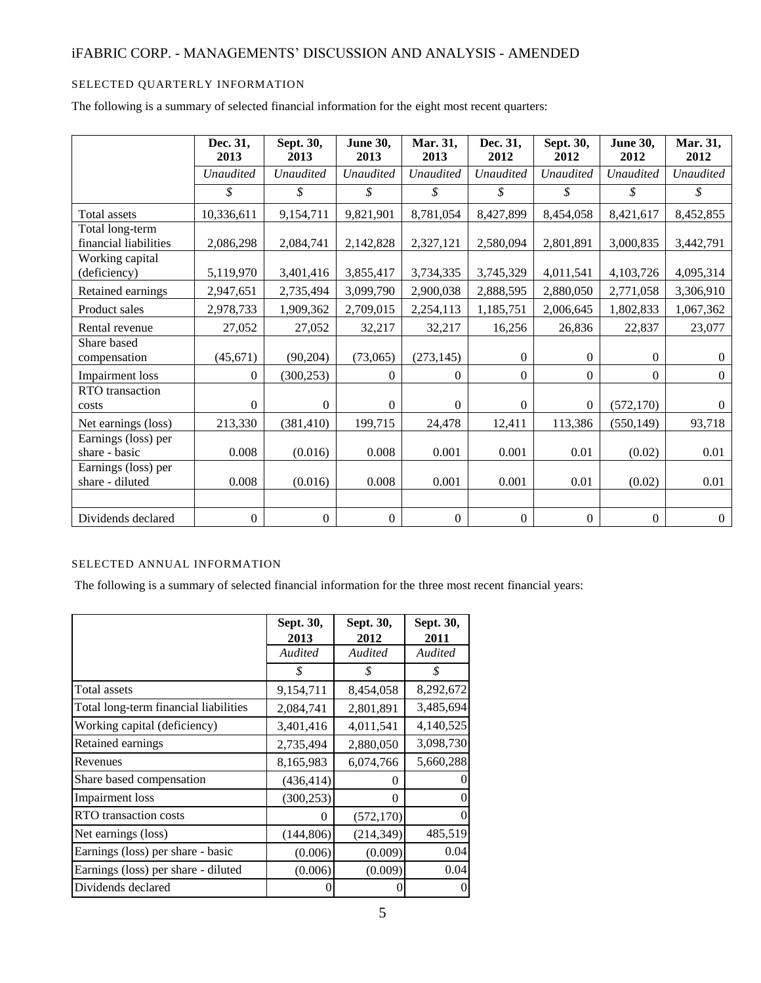## SELECTED QUARTERLY INFORMATION

The following is a summary of selected financial information for the eight most recent quarters:

|                                          | Dec. 31,<br>2013 | Sept. 30,<br>2013 | <b>June 30,</b><br>2013 | Mar. 31,<br>2013 | Dec. 31,<br>2012 | Sept. 30,<br>2012 | <b>June 30,</b><br>2012 | Mar. 31,<br>2012 |
|------------------------------------------|------------------|-------------------|-------------------------|------------------|------------------|-------------------|-------------------------|------------------|
|                                          | Unaudited        | <b>Unaudited</b>  | Unaudited               | <b>Unaudited</b> | Unaudited        | <b>Unaudited</b>  | Unaudited               | <b>Unaudited</b> |
|                                          | \$               | \$                | \$                      | \$               | \$               | \$                | \$                      | \$               |
| <b>Total assets</b>                      | 10,336,611       | 9,154,711         | 9,821,901               | 8,781,054        | 8,427,899        | 8,454,058         | 8,421,617               | 8,452,855        |
| Total long-term<br>financial liabilities | 2,086,298        | 2,084,741         | 2,142,828               | 2,327,121        | 2,580,094        | 2,801,891         | 3,000,835               | 3,442,791        |
| Working capital<br>(deficiency)          | 5,119,970        | 3,401,416         | 3,855,417               | 3,734,335        | 3,745,329        | 4,011,541         | 4,103,726               | 4,095,314        |
| Retained earnings                        | 2,947,651        | 2,735,494         | 3,099,790               | 2,900,038        | 2,888,595        | 2,880,050         | 2,771,058               | 3,306,910        |
| Product sales                            | 2,978,733        | 1,909,362         | 2,709,015               | 2,254,113        | 1,185,751        | 2,006,645         | 1,802,833               | 1,067,362        |
| Rental revenue                           | 27,052           | 27,052            | 32,217                  | 32,217           | 16,256           | 26,836            | 22,837                  | 23,077           |
| Share based<br>compensation              | (45, 671)        | (90, 204)         | (73,065)                | (273, 145)       | $\overline{0}$   | $\overline{0}$    | $\overline{0}$          | $\mathbf{0}$     |
| Impairment loss                          | $\theta$         | (300, 253)        | $\theta$                | $\Omega$         | $\overline{0}$   | $\Omega$          | $\overline{0}$          | $\theta$         |
| <b>RTO</b> transaction<br>costs          | $\boldsymbol{0}$ | $\mathbf{0}$      | $\boldsymbol{0}$        | $\theta$         | $\overline{0}$   | $\mathbf{0}$      | (572, 170)              | $\mathbf{0}$     |
| Net earnings (loss)                      | 213,330          | (381, 410)        | 199,715                 | 24,478           | 12,411           | 113,386           | (550, 149)              | 93,718           |
| Earnings (loss) per<br>share - basic     | 0.008            | (0.016)           | 0.008                   | 0.001            | 0.001            | 0.01              | (0.02)                  | 0.01             |
| Earnings (loss) per<br>share - diluted   | 0.008            | (0.016)           | 0.008                   | 0.001            | 0.001            | 0.01              | (0.02)                  | 0.01             |
|                                          |                  |                   |                         |                  |                  |                   |                         |                  |
| Dividends declared                       | $\boldsymbol{0}$ | $\mathbf{0}$      | $\boldsymbol{0}$        | $\mathbf{0}$     | $\mathbf{0}$     | $\theta$          | $\boldsymbol{0}$        | $\boldsymbol{0}$ |

## SELECTED ANNUAL INFORMATION

The following is a summary of selected financial information for the three most recent financial years:

|                                       | Sept. 30,<br>2013 | Sept. 30,<br>2012 | Sept. 30,<br>2011 |
|---------------------------------------|-------------------|-------------------|-------------------|
|                                       | Audited           | Audited           | Audited           |
|                                       | S                 | \$                | \$                |
| Total assets                          | 9,154,711         | 8,454,058         | 8,292,672         |
| Total long-term financial liabilities | 2,084,741         | 2,801,891         | 3,485,694         |
| Working capital (deficiency)          | 3,401,416         | 4,011,541         | 4,140,525         |
| Retained earnings                     | 2,735,494         | 2,880,050         | 3,098,730         |
| Revenues                              | 8,165,983         | 6,074,766         | 5,660,288         |
| Share based compensation              | (436, 414)        | 0                 | $\Omega$          |
| Impairment loss                       | (300, 253)        | 0                 | $\theta$          |
| RTO transaction costs                 | $\theta$          | (572, 170)        | 0                 |
| Net earnings (loss)                   | (144, 806)        | (214, 349)        | 485,519           |
| Earnings (loss) per share - basic     | (0.006)           | (0.009)           | 0.04              |
| Earnings (loss) per share - diluted   | (0.006)           | (0.009)           | 0.04              |
| Dividends declared                    |                   |                   | 0                 |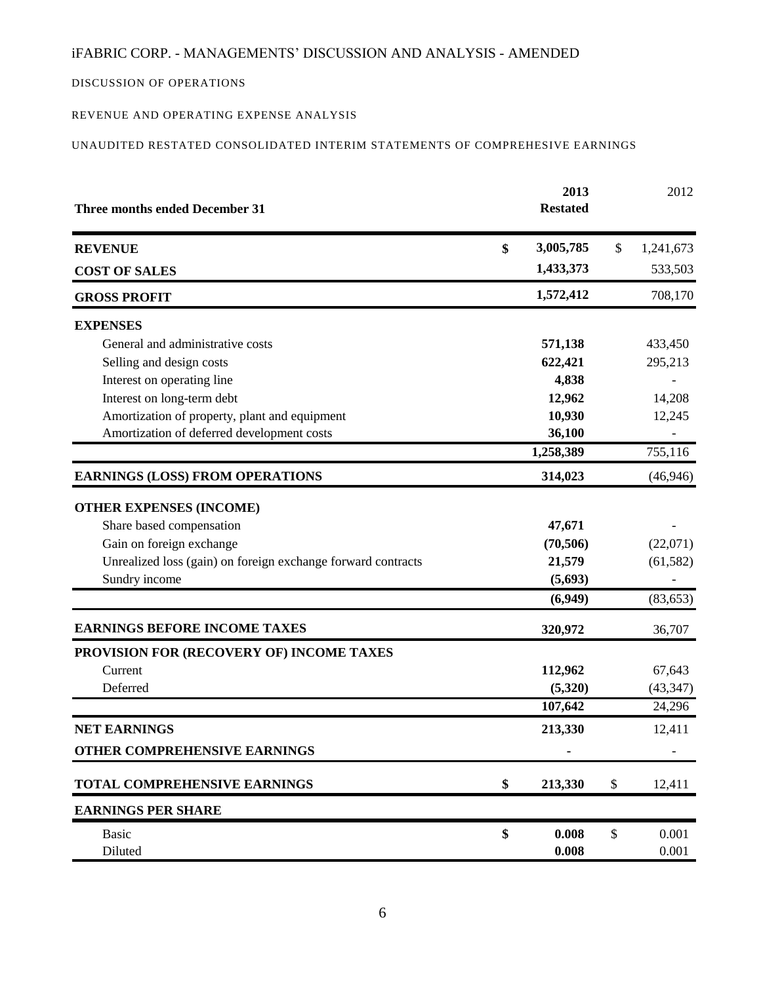# DISCUSSION OF OPERATIONS

## REVENUE AND OPERATING EXPENSE ANALYSIS

# UNAUDITED RESTATED CONSOLIDATED INTERIM STATEMENTS OF COMPREHESIVE EARNINGS

| <b>Three months ended December 31</b>                        | 2013<br><b>Restated</b> | 2012            |
|--------------------------------------------------------------|-------------------------|-----------------|
| <b>REVENUE</b>                                               | \$<br>3,005,785         | \$<br>1,241,673 |
| <b>COST OF SALES</b>                                         | 1,433,373               | 533,503         |
| <b>GROSS PROFIT</b>                                          | 1,572,412               | 708,170         |
| <b>EXPENSES</b>                                              |                         |                 |
| General and administrative costs                             | 571,138                 | 433,450         |
| Selling and design costs                                     | 622,421                 | 295,213         |
| Interest on operating line                                   | 4,838                   |                 |
| Interest on long-term debt                                   | 12,962                  | 14,208          |
| Amortization of property, plant and equipment                | 10,930                  | 12,245          |
| Amortization of deferred development costs                   | 36,100                  |                 |
|                                                              | 1,258,389               | 755,116         |
| <b>EARNINGS (LOSS) FROM OPERATIONS</b>                       | 314,023                 | (46, 946)       |
| <b>OTHER EXPENSES (INCOME)</b>                               |                         |                 |
| Share based compensation                                     | 47,671                  |                 |
| Gain on foreign exchange                                     | (70, 506)               | (22,071)        |
| Unrealized loss (gain) on foreign exchange forward contracts | 21,579                  | (61, 582)       |
| Sundry income                                                | (5,693)                 |                 |
|                                                              | (6,949)                 | (83, 653)       |
| <b>EARNINGS BEFORE INCOME TAXES</b>                          | 320,972                 | 36,707          |
| PROVISION FOR (RECOVERY OF) INCOME TAXES                     |                         |                 |
| Current                                                      | 112,962                 | 67,643          |
| Deferred                                                     | (5,320)                 | (43, 347)       |
|                                                              | 107,642                 | 24,296          |
| <b>NET EARNINGS</b>                                          | 213,330                 | 12,411          |
| <b>OTHER COMPREHENSIVE EARNINGS</b>                          |                         |                 |
| TOTAL COMPREHENSIVE EARNINGS                                 | \$<br>213,330           | \$<br>12,411    |
| <b>EARNINGS PER SHARE</b>                                    |                         |                 |
| <b>Basic</b>                                                 | \$<br>0.008             | \$<br>0.001     |
| Diluted                                                      | 0.008                   | 0.001           |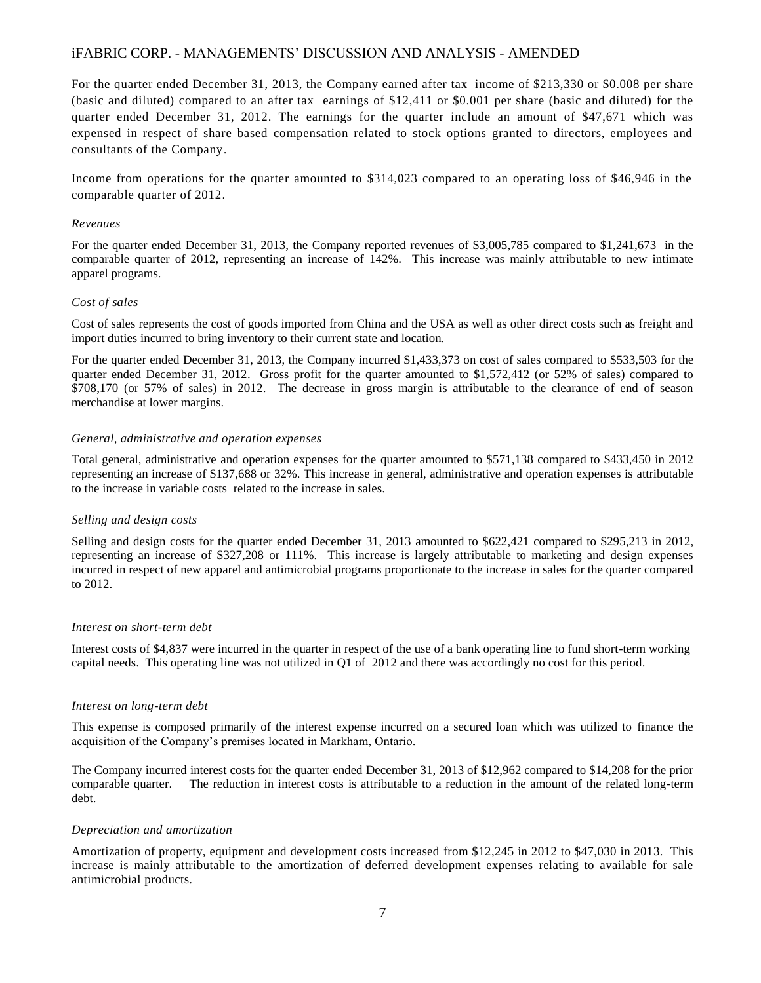For the quarter ended December 31, 2013, the Company earned after tax income of \$213,330 or \$0.008 per share (basic and diluted) compared to an after tax earnings of \$12,411 or \$0.001 per share (basic and diluted) for the quarter ended December 31, 2012. The earnings for the quarter include an amount of \$47,671 which was expensed in respect of share based compensation related to stock options granted to directors, employees and consultants of the Company.

Income from operations for the quarter amounted to \$314,023 compared to an operating loss of \$46,946 in the comparable quarter of 2012.

### *Revenues*

For the quarter ended December 31, 2013, the Company reported revenues of \$3,005,785 compared to \$1,241,673 in the comparable quarter of 2012, representing an increase of 142%. This increase was mainly attributable to new intimate apparel programs.

### *Cost of sales*

Cost of sales represents the cost of goods imported from China and the USA as well as other direct costs such as freight and import duties incurred to bring inventory to their current state and location.

For the quarter ended December 31, 2013, the Company incurred \$1,433,373 on cost of sales compared to \$533,503 for the quarter ended December 31, 2012. Gross profit for the quarter amounted to \$1,572,412 (or 52% of sales) compared to \$708,170 (or 57% of sales) in 2012. The decrease in gross margin is attributable to the clearance of end of season merchandise at lower margins.

### *General, administrative and operation expenses*

Total general, administrative and operation expenses for the quarter amounted to \$571,138 compared to \$433,450 in 2012 representing an increase of \$137,688 or 32%. This increase in general, administrative and operation expenses is attributable to the increase in variable costs related to the increase in sales.

## *Selling and design costs*

Selling and design costs for the quarter ended December 31, 2013 amounted to \$622,421 compared to \$295,213 in 2012, representing an increase of \$327,208 or 111%. This increase is largely attributable to marketing and design expenses incurred in respect of new apparel and antimicrobial programs proportionate to the increase in sales for the quarter compared to 2012.

#### *Interest on short-term debt*

Interest costs of \$4,837 were incurred in the quarter in respect of the use of a bank operating line to fund short-term working capital needs. This operating line was not utilized in Q1 of 2012 and there was accordingly no cost for this period.

#### *Interest on long-term debt*

This expense is composed primarily of the interest expense incurred on a secured loan which was utilized to finance the acquisition of the Company's premises located in Markham, Ontario.

The Company incurred interest costs for the quarter ended December 31, 2013 of \$12,962 compared to \$14,208 for the prior comparable quarter. The reduction in interest costs is attributable to a reduction in the amount of the related long-term debt.

## *Depreciation and amortization*

Amortization of property, equipment and development costs increased from \$12,245 in 2012 to \$47,030 in 2013. This increase is mainly attributable to the amortization of deferred development expenses relating to available for sale antimicrobial products.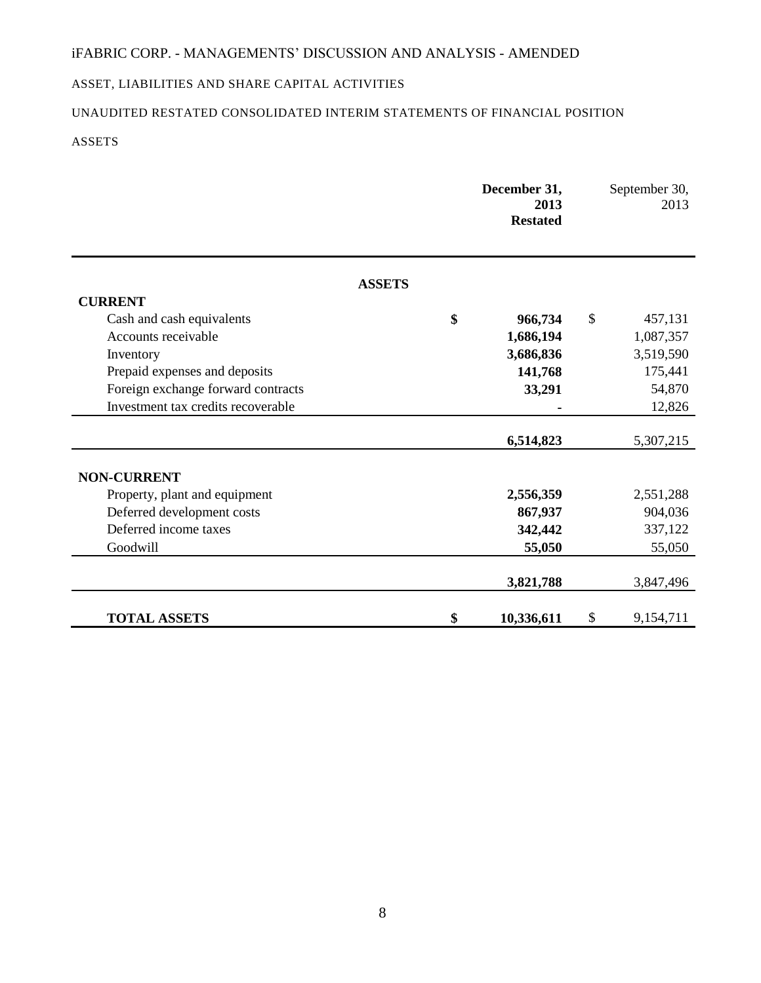# ASSET, LIABILITIES AND SHARE CAPITAL ACTIVITIES

# UNAUDITED RESTATED CONSOLIDATED INTERIM STATEMENTS OF FINANCIAL POSITION

## ASSETS

|                                    | December 31,<br>2013<br><b>Restated</b> | September 30,<br>2013 |
|------------------------------------|-----------------------------------------|-----------------------|
| <b>ASSETS</b>                      |                                         |                       |
| <b>CURRENT</b>                     |                                         |                       |
| Cash and cash equivalents          | \$<br>966,734                           | \$<br>457,131         |
| Accounts receivable                | 1,686,194                               | 1,087,357             |
| Inventory                          | 3,686,836                               | 3,519,590             |
| Prepaid expenses and deposits      | 141,768                                 | 175,441               |
| Foreign exchange forward contracts | 33,291                                  | 54,870                |
| Investment tax credits recoverable |                                         | 12,826                |
|                                    | 6,514,823                               | 5,307,215             |
| <b>NON-CURRENT</b>                 |                                         |                       |
| Property, plant and equipment      | 2,556,359                               | 2,551,288             |
| Deferred development costs         | 867,937                                 | 904,036               |
| Deferred income taxes              | 342,442                                 | 337,122               |
| Goodwill                           | 55,050                                  | 55,050                |
|                                    | 3,821,788                               | 3,847,496             |
| <b>TOTAL ASSETS</b>                | \$<br>10,336,611                        | \$<br>9,154,711       |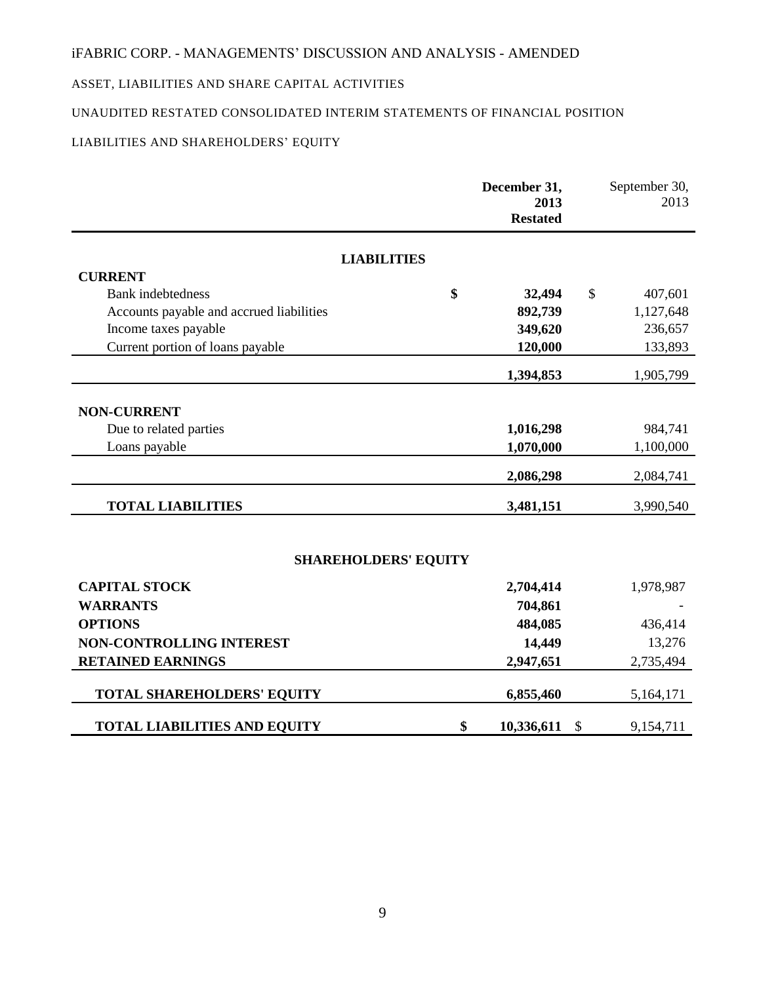# ASSET, LIABILITIES AND SHARE CAPITAL ACTIVITIES

# UNAUDITED RESTATED CONSOLIDATED INTERIM STATEMENTS OF FINANCIAL POSITION

# LIABILITIES AND SHAREHOLDERS' EQUITY

|                                          | December 31,<br>2013<br><b>Restated</b> | September 30,<br>2013 |
|------------------------------------------|-----------------------------------------|-----------------------|
| <b>LIABILITIES</b>                       |                                         |                       |
| <b>CURRENT</b>                           |                                         |                       |
| <b>Bank</b> indebtedness                 | \$<br>32,494                            | \$<br>407,601         |
| Accounts payable and accrued liabilities | 892,739                                 | 1,127,648             |
| Income taxes payable                     | 349,620                                 | 236,657               |
| Current portion of loans payable         | 120,000                                 | 133,893               |
|                                          | 1,394,853                               | 1,905,799             |
|                                          |                                         |                       |
| <b>NON-CURRENT</b>                       |                                         |                       |
| Due to related parties                   | 1,016,298                               | 984,741               |
| Loans payable                            | 1,070,000                               | 1,100,000             |
|                                          | 2,086,298                               | 2,084,741             |
| <b>TOTAL LIABILITIES</b>                 | 3,481,151                               | 3,990,540             |
|                                          |                                         |                       |
| <b>SHAREHOLDERS' EQUITY</b>              |                                         |                       |
| <b>CAPITAL STOCK</b>                     | 2,704,414                               | 1,978,987             |
| <b>WARRANTS</b>                          | 704,861                                 |                       |
| <b>OPTIONS</b>                           | 484,085                                 | 436,414               |
| <b>NON-CONTROLLING INTEREST</b>          | 14,449                                  | 13,276                |
| <b>RETAINED EARNINGS</b>                 | 2,947,651                               | 2,735,494             |
| <b>TOTAL SHAREHOLDERS' EQUITY</b>        | 6,855,460                               | 5,164,171             |
|                                          |                                         |                       |
| <b>TOTAL LIABILITIES AND EOUITY</b>      | \$<br>10,336,611                        | \$<br>9,154,711       |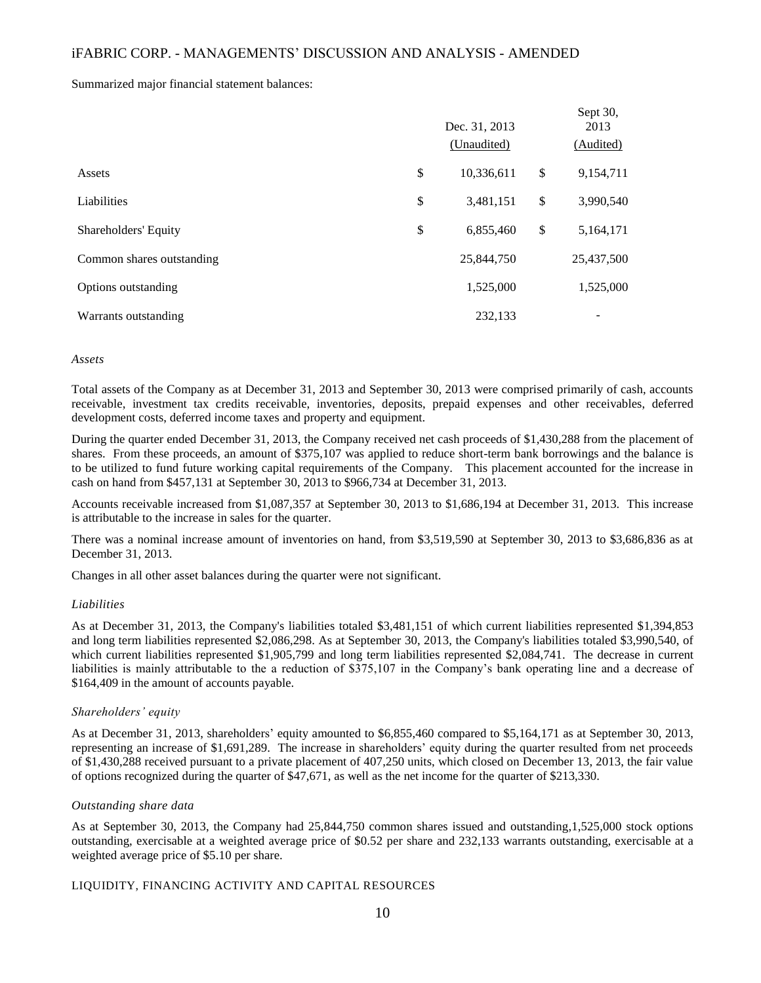Summarized major financial statement balances:

|                           | Dec. 31, 2013<br>(Unaudited) | Sept 30,<br>2013<br>(Audited) |
|---------------------------|------------------------------|-------------------------------|
| Assets                    | \$<br>10,336,611             | \$<br>9,154,711               |
| Liabilities               | \$<br>3,481,151              | \$<br>3,990,540               |
| Shareholders' Equity      | \$<br>6,855,460              | \$<br>5,164,171               |
| Common shares outstanding | 25,844,750                   | 25,437,500                    |
| Options outstanding       | 1,525,000                    | 1,525,000                     |
| Warrants outstanding      | 232,133                      | $\overline{a}$                |

#### *Assets*

Total assets of the Company as at December 31, 2013 and September 30, 2013 were comprised primarily of cash, accounts receivable, investment tax credits receivable, inventories, deposits, prepaid expenses and other receivables, deferred development costs, deferred income taxes and property and equipment.

During the quarter ended December 31, 2013, the Company received net cash proceeds of \$1,430,288 from the placement of shares. From these proceeds, an amount of \$375,107 was applied to reduce short-term bank borrowings and the balance is to be utilized to fund future working capital requirements of the Company. This placement accounted for the increase in cash on hand from \$457,131 at September 30, 2013 to \$966,734 at December 31, 2013.

Accounts receivable increased from \$1,087,357 at September 30, 2013 to \$1,686,194 at December 31, 2013. This increase is attributable to the increase in sales for the quarter.

There was a nominal increase amount of inventories on hand, from \$3,519,590 at September 30, 2013 to \$3,686,836 as at December 31, 2013.

Changes in all other asset balances during the quarter were not significant.

#### *Liabilities*

As at December 31, 2013, the Company's liabilities totaled \$3,481,151 of which current liabilities represented \$1,394,853 and long term liabilities represented \$2,086,298. As at September 30, 2013, the Company's liabilities totaled \$3,990,540, of which current liabilities represented \$1,905,799 and long term liabilities represented \$2,084,741. The decrease in current liabilities is mainly attributable to the a reduction of \$375,107 in the Company's bank operating line and a decrease of \$164,409 in the amount of accounts payable.

#### *Shareholders' equity*

As at December 31, 2013, shareholders' equity amounted to \$6,855,460 compared to \$5,164,171 as at September 30, 2013, representing an increase of \$1,691,289. The increase in shareholders' equity during the quarter resulted from net proceeds of \$1,430,288 received pursuant to a private placement of 407,250 units, which closed on December 13, 2013, the fair value of options recognized during the quarter of \$47,671, as well as the net income for the quarter of \$213,330.

#### *Outstanding share data*

As at September 30, 2013, the Company had 25,844,750 common shares issued and outstanding,1,525,000 stock options outstanding, exercisable at a weighted average price of \$0.52 per share and 232,133 warrants outstanding, exercisable at a weighted average price of \$5.10 per share.

#### LIQUIDITY, FINANCING ACTIVITY AND CAPITAL RESOURCES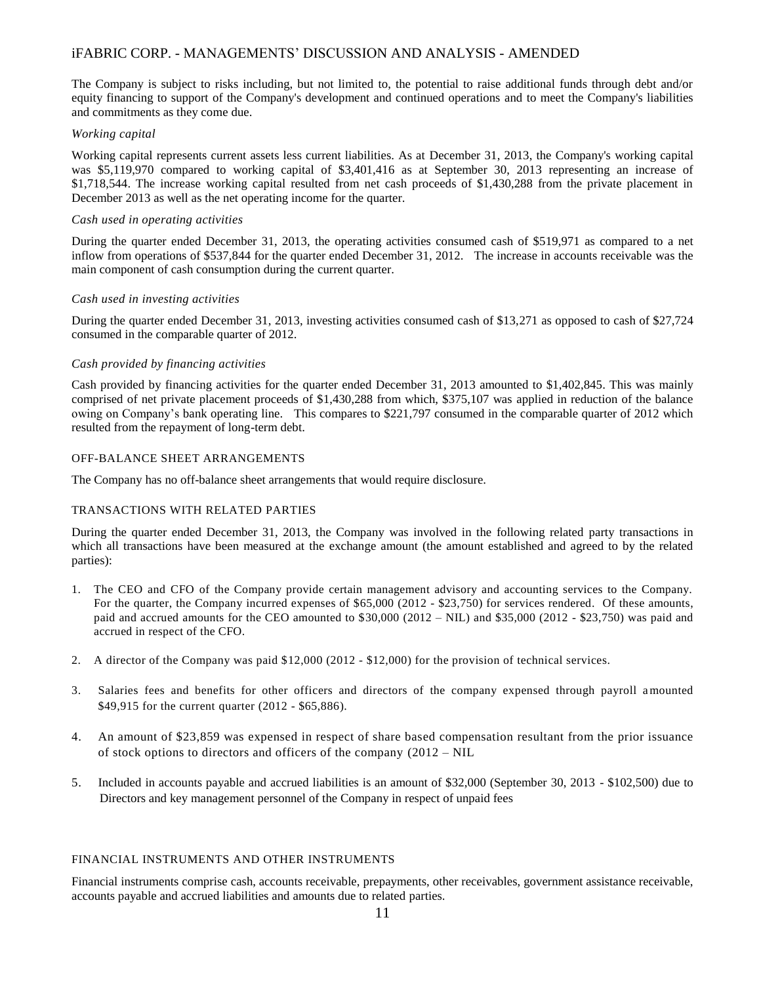The Company is subject to risks including, but not limited to, the potential to raise additional funds through debt and/or equity financing to support of the Company's development and continued operations and to meet the Company's liabilities and commitments as they come due.

### *Working capital*

Working capital represents current assets less current liabilities. As at December 31, 2013, the Company's working capital was \$5,119,970 compared to working capital of \$3,401,416 as at September 30, 2013 representing an increase of \$1,718,544. The increase working capital resulted from net cash proceeds of \$1,430,288 from the private placement in December 2013 as well as the net operating income for the quarter.

### *Cash used in operating activities*

During the quarter ended December 31, 2013, the operating activities consumed cash of \$519,971 as compared to a net inflow from operations of \$537,844 for the quarter ended December 31, 2012. The increase in accounts receivable was the main component of cash consumption during the current quarter.

### *Cash used in investing activities*

During the quarter ended December 31, 2013, investing activities consumed cash of \$13,271 as opposed to cash of \$27,724 consumed in the comparable quarter of 2012.

### *Cash provided by financing activities*

Cash provided by financing activities for the quarter ended December 31, 2013 amounted to \$1,402,845. This was mainly comprised of net private placement proceeds of \$1,430,288 from which, \$375,107 was applied in reduction of the balance owing on Company's bank operating line. This compares to \$221,797 consumed in the comparable quarter of 2012 which resulted from the repayment of long-term debt.

#### OFF-BALANCE SHEET ARRANGEMENTS

The Company has no off-balance sheet arrangements that would require disclosure.

#### TRANSACTIONS WITH RELATED PARTIES

During the quarter ended December 31, 2013, the Company was involved in the following related party transactions in which all transactions have been measured at the exchange amount (the amount established and agreed to by the related parties):

- 1. The CEO and CFO of the Company provide certain management advisory and accounting services to the Company. For the quarter, the Company incurred expenses of \$65,000 (2012 - \$23,750) for services rendered. Of these amounts, paid and accrued amounts for the CEO amounted to \$30,000 (2012 – NIL) and \$35,000 (2012 - \$23,750) was paid and accrued in respect of the CFO.
- 2. A director of the Company was paid \$12,000 (2012 \$12,000) for the provision of technical services.
- 3. Salaries fees and benefits for other officers and directors of the company expensed through payroll amounted \$49,915 for the current quarter (2012 - \$65,886).
- 4. An amount of \$23,859 was expensed in respect of share based compensation resultant from the prior issuance of stock options to directors and officers of the company (2012 – NIL
- 5. Included in accounts payable and accrued liabilities is an amount of \$32,000 (September 30, 2013 \$102,500) due to Directors and key management personnel of the Company in respect of unpaid fees

## FINANCIAL INSTRUMENTS AND OTHER INSTRUMENTS

Financial instruments comprise cash, accounts receivable, prepayments, other receivables, government assistance receivable, accounts payable and accrued liabilities and amounts due to related parties.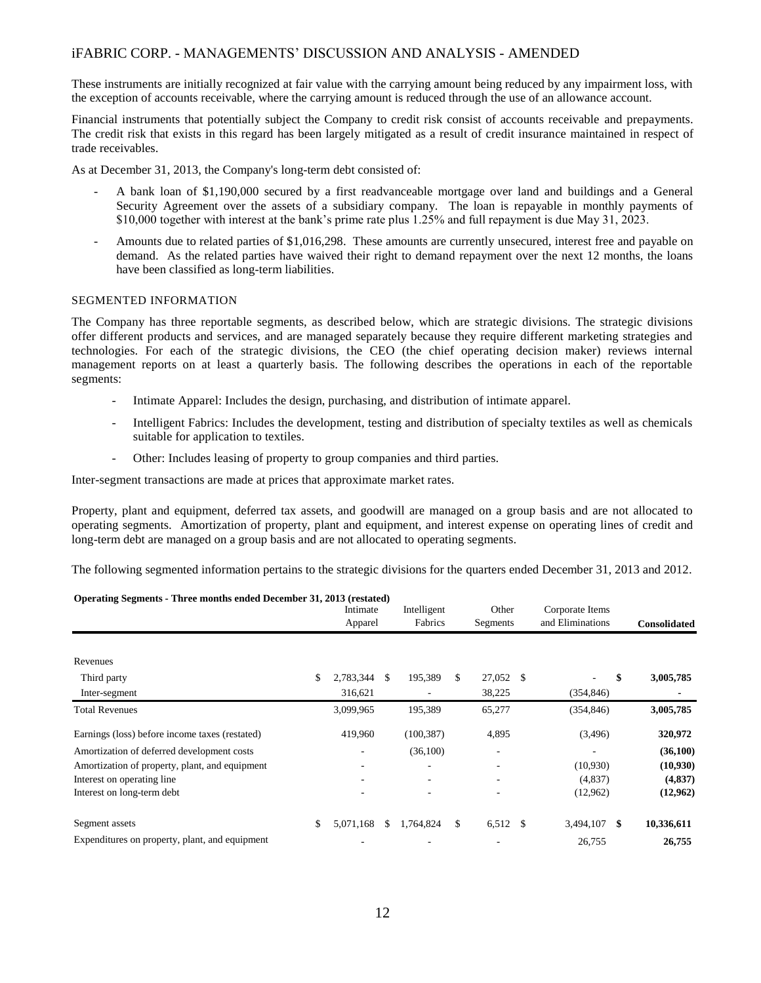These instruments are initially recognized at fair value with the carrying amount being reduced by any impairment loss, with the exception of accounts receivable, where the carrying amount is reduced through the use of an allowance account.

Financial instruments that potentially subject the Company to credit risk consist of accounts receivable and prepayments. The credit risk that exists in this regard has been largely mitigated as a result of credit insurance maintained in respect of trade receivables.

As at December 31, 2013, the Company's long-term debt consisted of:

- A bank loan of \$1,190,000 secured by a first readvanceable mortgage over land and buildings and a General Security Agreement over the assets of a subsidiary company. The loan is repayable in monthly payments of \$10,000 together with interest at the bank's prime rate plus 1.25% and full repayment is due May 31, 2023.
- Amounts due to related parties of \$1,016,298. These amounts are currently unsecured, interest free and payable on demand. As the related parties have waived their right to demand repayment over the next 12 months, the loans have been classified as long-term liabilities.

## SEGMENTED INFORMATION

The Company has three reportable segments, as described below, which are strategic divisions. The strategic divisions offer different products and services, and are managed separately because they require different marketing strategies and technologies. For each of the strategic divisions, the CEO (the chief operating decision maker) reviews internal management reports on at least a quarterly basis. The following describes the operations in each of the reportable segments:

- Intimate Apparel: Includes the design, purchasing, and distribution of intimate apparel.
- Intelligent Fabrics: Includes the development, testing and distribution of specialty textiles as well as chemicals suitable for application to textiles.
- Other: Includes leasing of property to group companies and third parties.

Inter-segment transactions are made at prices that approximate market rates.

Property, plant and equipment, deferred tax assets, and goodwill are managed on a group basis and are not allocated to operating segments. Amortization of property, plant and equipment, and interest expense on operating lines of credit and long-term debt are managed on a group basis and are not allocated to operating segments.

The following segmented information pertains to the strategic divisions for the quarters ended December 31, 2013 and 2012.

| Operating Segments - Three months ended December 31, 2013 (restated) |                 |     |             |    |            |  |                  |     |                     |
|----------------------------------------------------------------------|-----------------|-----|-------------|----|------------|--|------------------|-----|---------------------|
|                                                                      | Intimate        |     | Intelligent |    | Other      |  | Corporate Items  |     |                     |
|                                                                      | Apparel         |     | Fabrics     |    | Segments   |  | and Eliminations |     | <b>Consolidated</b> |
|                                                                      |                 |     |             |    |            |  |                  |     |                     |
| Revenues                                                             |                 |     |             |    |            |  |                  |     |                     |
| Third party                                                          | \$<br>2,783,344 | S   | 195,389     | \$ | 27,052 \$  |  | ۰                | \$  | 3,005,785           |
| Inter-segment                                                        | 316,621         |     |             |    | 38,225     |  | (354, 846)       |     |                     |
| <b>Total Revenues</b>                                                | 3,099,965       |     | 195,389     |    | 65,277     |  | (354, 846)       |     | 3,005,785           |
| Earnings (loss) before income taxes (restated)                       | 419,960         |     | (100, 387)  |    | 4,895      |  | (3,496)          |     | 320,972             |
| Amortization of deferred development costs                           |                 |     | (36,100)    |    | ۰          |  | ۰                |     | (36,100)            |
| Amortization of property, plant, and equipment                       |                 |     |             |    |            |  | (10,930)         |     | (10,930)            |
| Interest on operating line.                                          |                 |     |             |    |            |  | (4,837)          |     | (4,837)             |
| Interest on long-term debt                                           |                 |     |             |    |            |  | (12,962)         |     | (12,962)            |
| Segment assets                                                       | \$<br>5,071,168 | \$. | 1,764,824   | \$ | $6,512$ \$ |  | 3,494,107        | \$. | 10,336,611          |
| Expenditures on property, plant, and equipment                       |                 |     |             |    |            |  | 26,755           |     | 26,755              |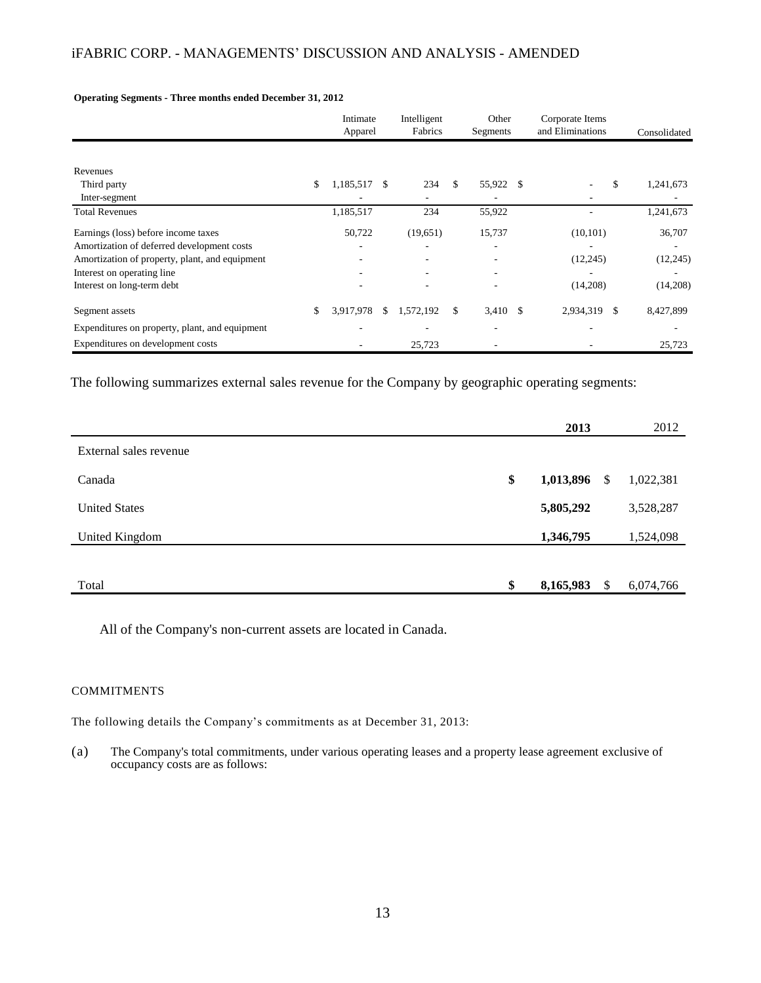|                                                | Intimate<br>Apparel |     | Intelligent<br>Fabrics |     | Other<br>Segments |    | Corporate Items<br>and Eliminations | Consolidated |
|------------------------------------------------|---------------------|-----|------------------------|-----|-------------------|----|-------------------------------------|--------------|
|                                                |                     |     |                        |     |                   |    |                                     |              |
| Revenues                                       |                     |     |                        |     |                   |    |                                     |              |
| Third party                                    | \$<br>1,185,517     | S   | 234                    | \$. | 55,922            | -S | \$                                  | 1,241,673    |
| Inter-segment                                  |                     |     |                        |     |                   |    |                                     |              |
| <b>Total Revenues</b>                          | 1,185,517           |     | 234                    |     | 55,922            |    |                                     | 1,241,673    |
| Earnings (loss) before income taxes            | 50,722              |     | (19,651)               |     | 15,737            |    | (10, 101)                           | 36,707       |
| Amortization of deferred development costs     |                     |     |                        |     |                   |    | ٠                                   |              |
| Amortization of property, plant, and equipment |                     |     |                        |     |                   |    | (12,245)                            | (12,245)     |
| Interest on operating line.                    |                     |     | ۰                      |     | ۰                 |    | -                                   |              |
| Interest on long-term debt                     |                     |     | -                      |     | ۰                 |    | (14,208)                            | (14,208)     |
| Segment assets                                 | \$<br>3,917,978     | \$. | 1,572,192              | \$  | 3,410 \$          |    | 2,934,319<br>\$.                    | 8,427,899    |
| Expenditures on property, plant, and equipment |                     |     |                        |     |                   |    |                                     |              |
| Expenditures on development costs              |                     |     | 25,723                 |     |                   |    |                                     | 25,723       |

#### **Operating Segments - Three months ended December 31, 2012**

The following summarizes external sales revenue for the Company by geographic operating segments:

|                        | 2013            |    | 2012      |
|------------------------|-----------------|----|-----------|
| External sales revenue |                 |    |           |
| Canada                 | \$<br>1,013,896 | \$ | 1,022,381 |
| <b>United States</b>   | 5,805,292       |    | 3,528,287 |
| United Kingdom         | 1,346,795       |    | 1,524,098 |
|                        |                 |    |           |
| Total                  | \$<br>8,165,983 | S  | 6,074,766 |

All of the Company's non-current assets are located in Canada.

## COMMITMENTS

The following details the Company's commitments as at December 31, 2013:

(a) The Company's total commitments, under various operating leases and a property lease agreement exclusive of occupancy costs are as follows: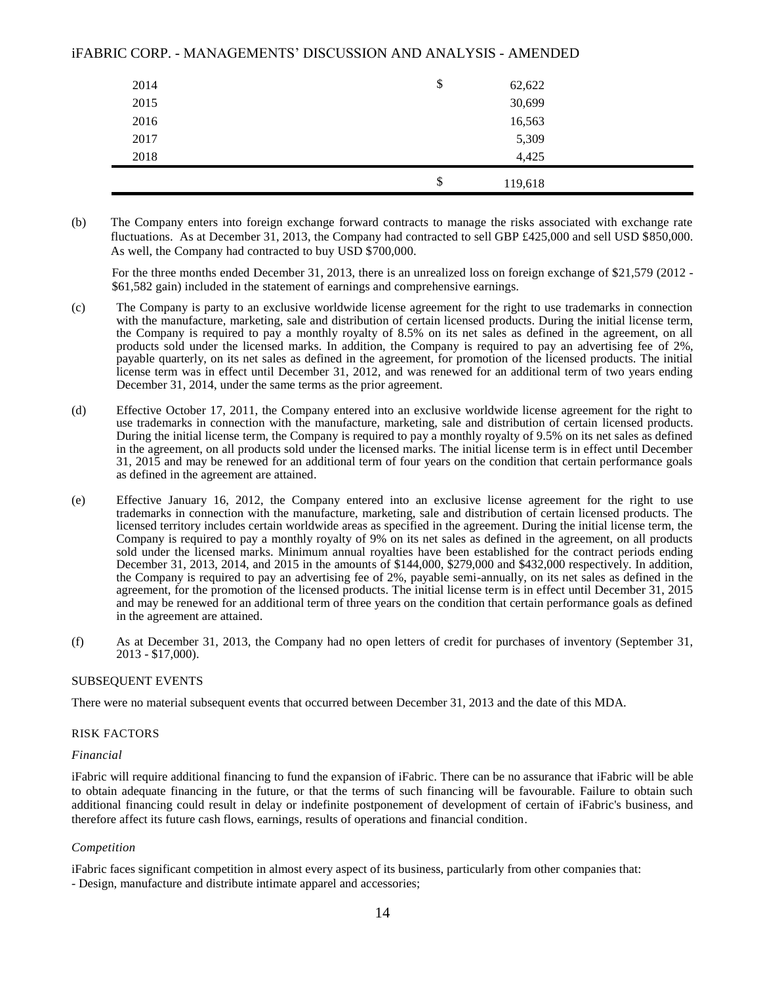| 2014 | \$<br>62,622  |
|------|---------------|
| 2015 | 30,699        |
| 2016 | 16,563        |
| 2017 | 5,309         |
| 2018 | 4,425         |
|      | \$<br>119,618 |

(b) The Company enters into foreign exchange forward contracts to manage the risks associated with exchange rate fluctuations. As at December 31, 2013, the Company had contracted to sell GBP £425,000 and sell USD \$850,000. As well, the Company had contracted to buy USD \$700,000.

For the three months ended December 31, 2013, there is an unrealized loss on foreign exchange of \$21,579 (2012 -\$61,582 gain) included in the statement of earnings and comprehensive earnings.

- (c) The Company is party to an exclusive worldwide license agreement for the right to use trademarks in connection with the manufacture, marketing, sale and distribution of certain licensed products. During the initial license term, the Company is required to pay a monthly royalty of 8.5% on its net sales as defined in the agreement, on all products sold under the licensed marks. In addition, the Company is required to pay an advertising fee of 2%, payable quarterly, on its net sales as defined in the agreement, for promotion of the licensed products. The initial license term was in effect until December 31, 2012, and was renewed for an additional term of two years ending December 31, 2014, under the same terms as the prior agreement.
- (d) Effective October 17, 2011, the Company entered into an exclusive worldwide license agreement for the right to use trademarks in connection with the manufacture, marketing, sale and distribution of certain licensed products. During the initial license term, the Company is required to pay a monthly royalty of 9.5% on its net sales as defined in the agreement, on all products sold under the licensed marks. The initial license term is in effect until December 31, 2015 and may be renewed for an additional term of four years on the condition that certain performance goals as defined in the agreement are attained.
- (e) Effective January 16, 2012, the Company entered into an exclusive license agreement for the right to use trademarks in connection with the manufacture, marketing, sale and distribution of certain licensed products. The licensed territory includes certain worldwide areas as specified in the agreement. During the initial license term, the Company is required to pay a monthly royalty of 9% on its net sales as defined in the agreement, on all products sold under the licensed marks. Minimum annual royalties have been established for the contract periods ending December 31, 2013, 2014, and 2015 in the amounts of \$144,000, \$279,000 and \$432,000 respectively. In addition, the Company is required to pay an advertising fee of 2%, payable semi-annually, on its net sales as defined in the agreement, for the promotion of the licensed products. The initial license term is in effect until December 31, 2015 and may be renewed for an additional term of three years on the condition that certain performance goals as defined in the agreement are attained.
- (f) As at December 31, 2013, the Company had no open letters of credit for purchases of inventory (September 31, 2013 - \$17,000).

#### SUBSEQUENT EVENTS

There were no material subsequent events that occurred between December 31, 2013 and the date of this MDA.

#### RISK FACTORS

#### *Financial*

iFabric will require additional financing to fund the expansion of iFabric. There can be no assurance that iFabric will be able to obtain adequate financing in the future, or that the terms of such financing will be favourable. Failure to obtain such additional financing could result in delay or indefinite postponement of development of certain of iFabric's business, and therefore affect its future cash flows, earnings, results of operations and financial condition.

#### *Competition*

iFabric faces significant competition in almost every aspect of its business, particularly from other companies that:

- Design, manufacture and distribute intimate apparel and accessories;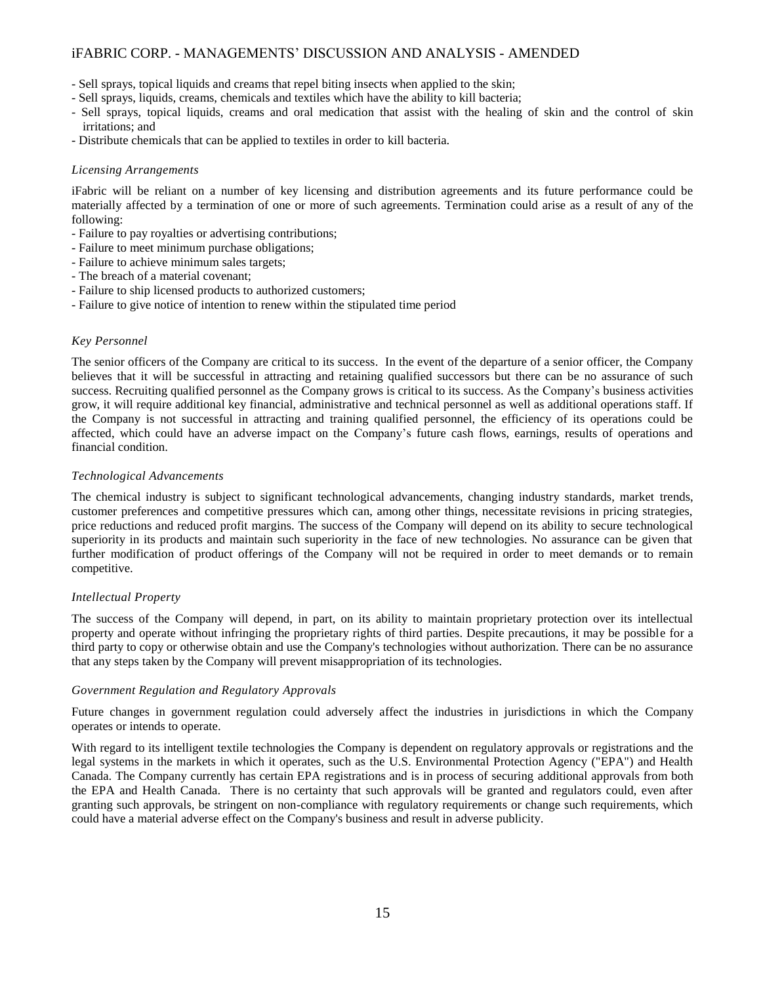- Sell sprays, topical liquids and creams that repel biting insects when applied to the skin;
- Sell sprays, liquids, creams, chemicals and textiles which have the ability to kill bacteria;
- Sell sprays, topical liquids, creams and oral medication that assist with the healing of skin and the control of skin irritations; and
- Distribute chemicals that can be applied to textiles in order to kill bacteria.

### *Licensing Arrangements*

iFabric will be reliant on a number of key licensing and distribution agreements and its future performance could be materially affected by a termination of one or more of such agreements. Termination could arise as a result of any of the following:

- Failure to pay royalties or advertising contributions;
- Failure to meet minimum purchase obligations;
- Failure to achieve minimum sales targets;
- The breach of a material covenant;
- Failure to ship licensed products to authorized customers;
- Failure to give notice of intention to renew within the stipulated time period

### *Key Personnel*

The senior officers of the Company are critical to its success. In the event of the departure of a senior officer, the Company believes that it will be successful in attracting and retaining qualified successors but there can be no assurance of such success. Recruiting qualified personnel as the Company grows is critical to its success. As the Company's business activities grow, it will require additional key financial, administrative and technical personnel as well as additional operations staff. If the Company is not successful in attracting and training qualified personnel, the efficiency of its operations could be affected, which could have an adverse impact on the Company's future cash flows, earnings, results of operations and financial condition.

### *Technological Advancements*

The chemical industry is subject to significant technological advancements, changing industry standards, market trends, customer preferences and competitive pressures which can, among other things, necessitate revisions in pricing strategies, price reductions and reduced profit margins. The success of the Company will depend on its ability to secure technological superiority in its products and maintain such superiority in the face of new technologies. No assurance can be given that further modification of product offerings of the Company will not be required in order to meet demands or to remain competitive.

#### *Intellectual Property*

The success of the Company will depend, in part, on its ability to maintain proprietary protection over its intellectual property and operate without infringing the proprietary rights of third parties. Despite precautions, it may be possible for a third party to copy or otherwise obtain and use the Company's technologies without authorization. There can be no assurance that any steps taken by the Company will prevent misappropriation of its technologies.

#### *Government Regulation and Regulatory Approvals*

Future changes in government regulation could adversely affect the industries in jurisdictions in which the Company operates or intends to operate.

With regard to its intelligent textile technologies the Company is dependent on regulatory approvals or registrations and the legal systems in the markets in which it operates, such as the U.S. Environmental Protection Agency ("EPA") and Health Canada. The Company currently has certain EPA registrations and is in process of securing additional approvals from both the EPA and Health Canada. There is no certainty that such approvals will be granted and regulators could, even after granting such approvals, be stringent on non-compliance with regulatory requirements or change such requirements, which could have a material adverse effect on the Company's business and result in adverse publicity.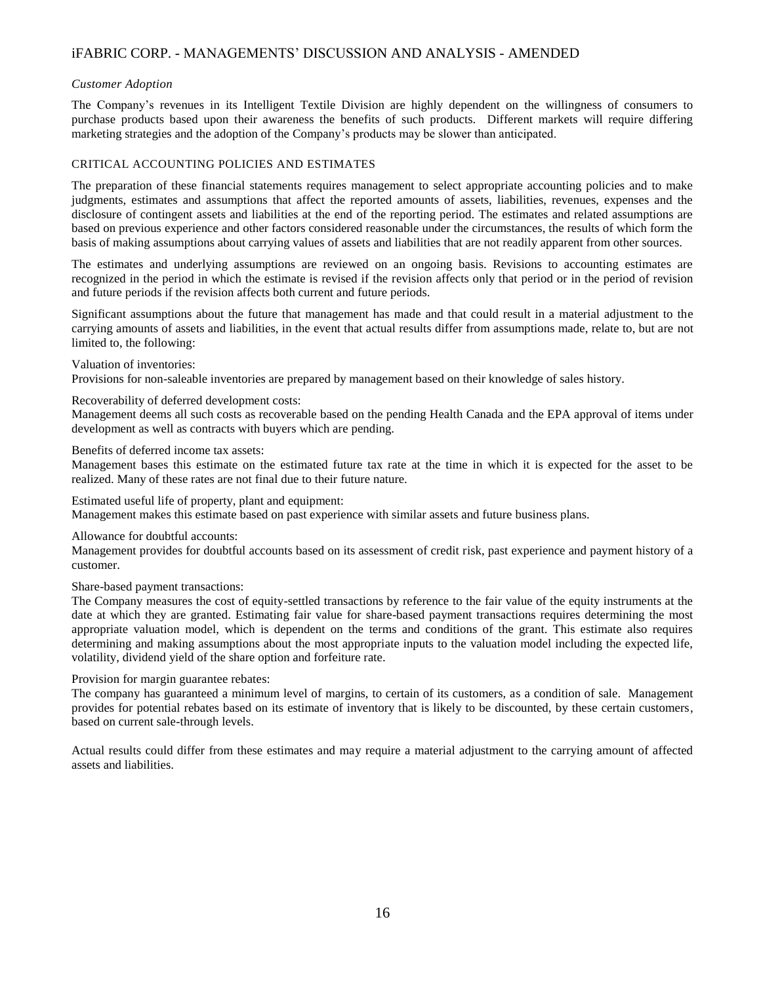### *Customer Adoption*

The Company's revenues in its Intelligent Textile Division are highly dependent on the willingness of consumers to purchase products based upon their awareness the benefits of such products. Different markets will require differing marketing strategies and the adoption of the Company's products may be slower than anticipated.

## CRITICAL ACCOUNTING POLICIES AND ESTIMATES

The preparation of these financial statements requires management to select appropriate accounting policies and to make judgments, estimates and assumptions that affect the reported amounts of assets, liabilities, revenues, expenses and the disclosure of contingent assets and liabilities at the end of the reporting period. The estimates and related assumptions are based on previous experience and other factors considered reasonable under the circumstances, the results of which form the basis of making assumptions about carrying values of assets and liabilities that are not readily apparent from other sources.

The estimates and underlying assumptions are reviewed on an ongoing basis. Revisions to accounting estimates are recognized in the period in which the estimate is revised if the revision affects only that period or in the period of revision and future periods if the revision affects both current and future periods.

Significant assumptions about the future that management has made and that could result in a material adjustment to the carrying amounts of assets and liabilities, in the event that actual results differ from assumptions made, relate to, but are not limited to, the following:

Valuation of inventories:

Provisions for non-saleable inventories are prepared by management based on their knowledge of sales history.

Recoverability of deferred development costs:

Management deems all such costs as recoverable based on the pending Health Canada and the EPA approval of items under development as well as contracts with buyers which are pending.

Benefits of deferred income tax assets:

Management bases this estimate on the estimated future tax rate at the time in which it is expected for the asset to be realized. Many of these rates are not final due to their future nature.

Estimated useful life of property, plant and equipment:

Management makes this estimate based on past experience with similar assets and future business plans.

Allowance for doubtful accounts:

Management provides for doubtful accounts based on its assessment of credit risk, past experience and payment history of a customer.

Share-based payment transactions:

The Company measures the cost of equity-settled transactions by reference to the fair value of the equity instruments at the date at which they are granted. Estimating fair value for share-based payment transactions requires determining the most appropriate valuation model, which is dependent on the terms and conditions of the grant. This estimate also requires determining and making assumptions about the most appropriate inputs to the valuation model including the expected life, volatility, dividend yield of the share option and forfeiture rate.

Provision for margin guarantee rebates:

The company has guaranteed a minimum level of margins, to certain of its customers, as a condition of sale. Management provides for potential rebates based on its estimate of inventory that is likely to be discounted, by these certain customers, based on current sale-through levels.

Actual results could differ from these estimates and may require a material adjustment to the carrying amount of affected assets and liabilities.